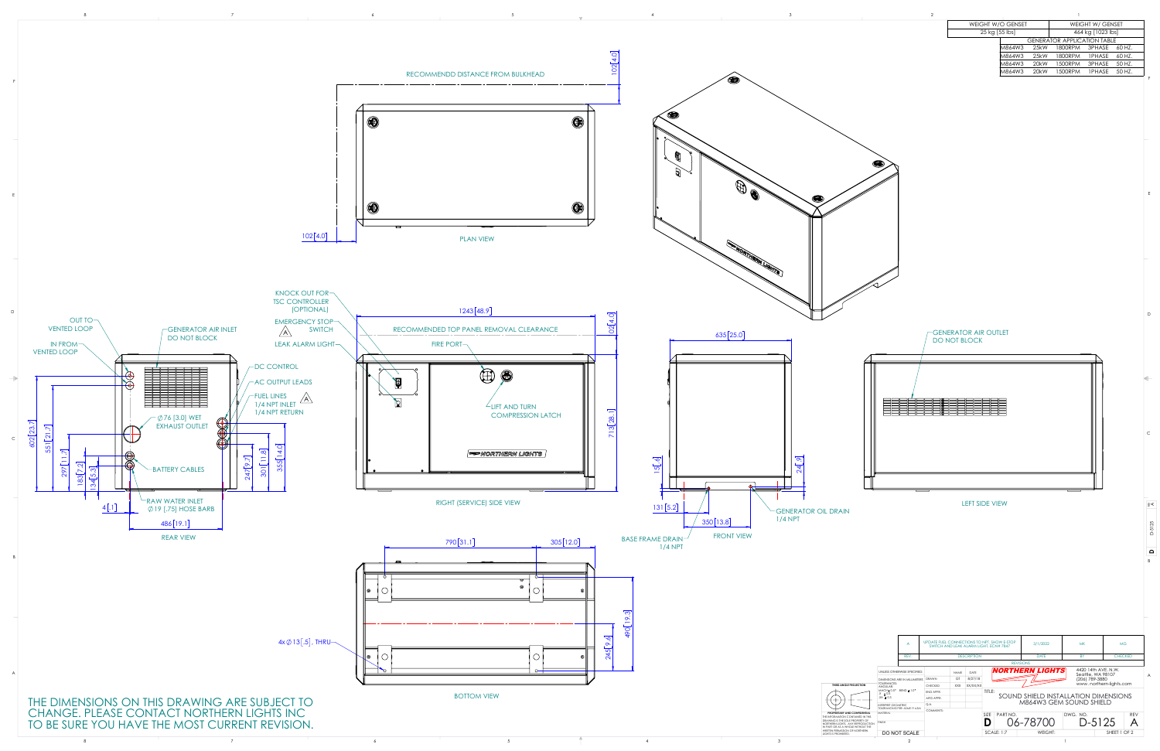|  |                                   |  | <b>WEIGHT W/O GENSET</b> | <b>WEIGHT W/ GENSET</b>            |
|--|-----------------------------------|--|--------------------------|------------------------------------|
|  |                                   |  | 25 kg [55 lbs]           | 464 kg [1023 lbs]                  |
|  |                                   |  |                          | <b>GENERATOR APPLICATION TABLE</b> |
|  |                                   |  |                          | M864W3 25kW 1800RPM 3PHASE 60 HZ.  |
|  |                                   |  |                          | M864W3 25kW 1800RPM 1PHASE 60 HZ.  |
|  |                                   |  |                          | M864W3 20kW 1500RPM 3PHASE 50 HZ.  |
|  | RECOMMENDD DISTANCE FROM BULKHEAD |  |                          | M864W3 20kW 1500RPM 1PHASE 50HZ.   |
|  |                                   |  |                          |                                    |

D



 $\begin{array}{ccccc} & & & & & & \sqrt{2} & \sqrt{2} & \sqrt{2} & \sqrt{2} & \sqrt{2} & \sqrt{2} & \sqrt{2} & \sqrt{2} & \sqrt{2} & \sqrt{2} & \sqrt{2} & \sqrt{2} & \sqrt{2} & \sqrt{2} & \sqrt{2} & \sqrt{2} & \sqrt{2} & \sqrt{2} & \sqrt{2} & \sqrt{2} & \sqrt{2} & \sqrt{2} & \sqrt{2} & \sqrt{2} & \sqrt{2} & \sqrt{2} & \sqrt{2} & \sqrt{2} & \sqrt{2} & \sqrt{2} & \sqrt{2} & \sqrt{2} & \sqrt{2} & \sqrt{2} & \sqrt$ 

E

E

 $\overline{\phantom{a}}$  c

 $\vert$  B

**D**

≩≮

D-5125

|                                                                                                               |                                                                                                                                 | A                           | UPDATE FUEL CONNECTIONS TO NPT, SHOW E-STOP<br>SWITCH AND LEAK ALARM LIGHT, ECN# 7847<br><b>DESCRIPTION</b> |             |          |                                                                           |  |         | 3/1/2022 |  | <b>MK</b>               |              | <b>MG</b>      |                |  |
|---------------------------------------------------------------------------------------------------------------|---------------------------------------------------------------------------------------------------------------------------------|-----------------------------|-------------------------------------------------------------------------------------------------------------|-------------|----------|---------------------------------------------------------------------------|--|---------|----------|--|-------------------------|--------------|----------------|----------------|--|
|                                                                                                               |                                                                                                                                 | REV.                        |                                                                                                             |             |          | <b>DATE</b>                                                               |  |         |          |  | <b>BY</b>               |              | <b>CHECKED</b> |                |  |
|                                                                                                               | <b>REVISIONS</b>                                                                                                                |                             |                                                                                                             |             |          |                                                                           |  |         |          |  |                         |              |                |                |  |
|                                                                                                               |                                                                                                                                 | UNLESS OTHERWISE SPECIFIED: |                                                                                                             | <b>NAME</b> | DATE     | 4420 14th AVE, N.W.<br><i><b>NORTHERN LIGHTS</b></i><br>Seattle, WA 98107 |  |         |          |  |                         |              |                |                |  |
|                                                                                                               | DIMENSIONS ARE IN MILLIMETERS<br>TOLERANCES:<br>ANGULAR:<br>MACH±0.5°<br>$BEND \pm 1.0^{\circ}$<br>$X \pm 0.5$<br>$.XX \pm 0.3$ |                             | <b>DRAWN</b>                                                                                                | GT          | 8/27/18  |                                                                           |  |         |          |  | (206) 789-3880          |              |                | $\overline{A}$ |  |
| <b>ECTION</b><br>NFIDENTIAL<br>INED IN THIS<br>PERTY OF<br><b>EPRODUCTION</b><br><b>ITHOUT THE</b><br>ORTHERN |                                                                                                                                 |                             | <b>CHECKED</b>                                                                                              | <b>XXX</b>  | XX/XX/XX |                                                                           |  |         |          |  | www.northern-lights.com |              |                |                |  |
|                                                                                                               |                                                                                                                                 |                             | ENG APPR.                                                                                                   |             |          | TITLE:                                                                    |  |         |          |  |                         |              |                |                |  |
|                                                                                                               |                                                                                                                                 |                             | MFG APPR.                                                                                                   |             |          | SOUND SHIELD INSTALLATION DIMENSIONS                                      |  |         |          |  |                         |              |                |                |  |
|                                                                                                               | <b>INTERPRET GEOMETRIC</b><br><b>TOLERANCING PER: ASME Y14.5M</b><br><b>MATFRIAL</b>                                            |                             | Q.A.                                                                                                        |             |          | M864W3 GEM SOUND SHIELD                                                   |  |         |          |  |                         |              |                |                |  |
|                                                                                                               |                                                                                                                                 |                             | <b>COMMENTS:</b>                                                                                            |             |          |                                                                           |  |         |          |  |                         |              |                |                |  |
|                                                                                                               |                                                                                                                                 |                             |                                                                                                             |             |          | <b>SIZE</b><br>PART NO.                                                   |  |         |          |  | DWG. NO.                |              | <b>REV</b>     |                |  |
|                                                                                                               | <b>FINISH</b>                                                                                                                   |                             |                                                                                                             |             |          |                                                                           |  |         | 06-78700 |  |                         | $D-5125$     |                |                |  |
|                                                                                                               |                                                                                                                                 | DO NOT SCALE                |                                                                                                             |             |          | <b>SCALE: 1:7</b>                                                         |  | WEIGHT: |          |  |                         | SHEET 1 OF 2 |                |                |  |